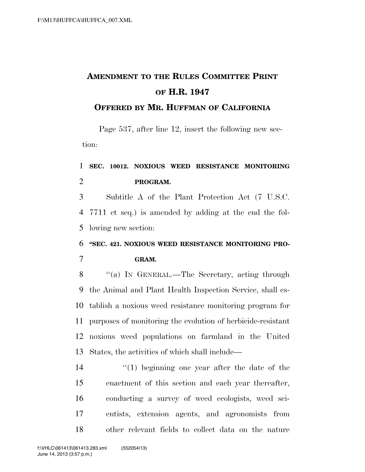# **AMENDMENT TO THE RULES COMMITTEE PRINT OF H.R. 1947**

#### **OFFERED BY MR. HUFFMAN OF CALIFORNIA**

Page 537, after line 12, insert the following new section:

### **SEC. 10012. NOXIOUS WEED RESISTANCE MONITORING PROGRAM.**

 Subtitle A of the Plant Protection Act (7 U.S.C. 7711 et seq.) is amended by adding at the end the fol-lowing new section:

### **''SEC. 421. NOXIOUS WEED RESISTANCE MONITORING PRO-GRAM.**

8 "(a) In GENERAL.—The Secretary, acting through the Animal and Plant Health Inspection Service, shall es- tablish a noxious weed resistance monitoring program for purposes of monitoring the evolution of herbicide-resistant noxious weed populations on farmland in the United States, the activities of which shall include—

14 ''(1) beginning one year after the date of the enactment of this section and each year thereafter, conducting a survey of weed ecologists, weed sci- entists, extension agents, and agronomists from other relevant fields to collect data on the nature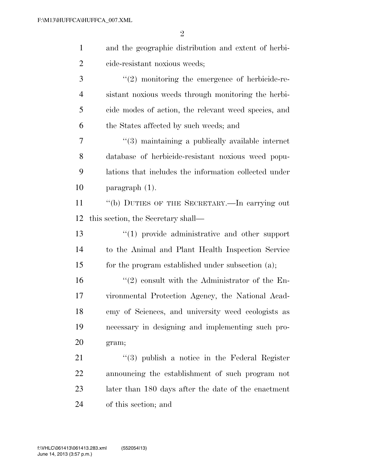| $\mathbf{1}$   | and the geographic distribution and extent of herbi-  |
|----------------|-------------------------------------------------------|
| $\overline{2}$ | cide-resistant noxious weeds;                         |
| 3              | $"(2)$ monitoring the emergence of herbicide-re-      |
| $\overline{4}$ | sistant noxious weeds through monitoring the herbi-   |
| 5              | cide modes of action, the relevant weed species, and  |
| 6              | the States affected by such weeds; and                |
| 7              | "(3) maintaining a publically available internet      |
| 8              | database of herbicide-resistant noxious weed popu-    |
| 9              | lations that includes the information collected under |
| 10             | paragraph (1).                                        |
| 11             | "(b) DUTIES OF THE SECRETARY.—In carrying out         |
| 12             | this section, the Secretary shall—                    |
| 13             | $\lq(1)$ provide administrative and other support     |
| 14             | to the Animal and Plant Health Inspection Service     |
| 15             | for the program established under subsection (a);     |
| 16             | $\lq(2)$ consult with the Administrator of the En-    |
| 17             | vironmental Protection Agency, the National Acad-     |
| 18             | emy of Sciences, and university weed ecologists as    |
| 19             | necessary in designing and implementing such pro-     |
| 20             | gram;                                                 |
| 21             | $(3)$ publish a notice in the Federal Register        |
| 22             | announcing the establishment of such program not      |
| 23             |                                                       |
|                | later than 180 days after the date of the enactment   |